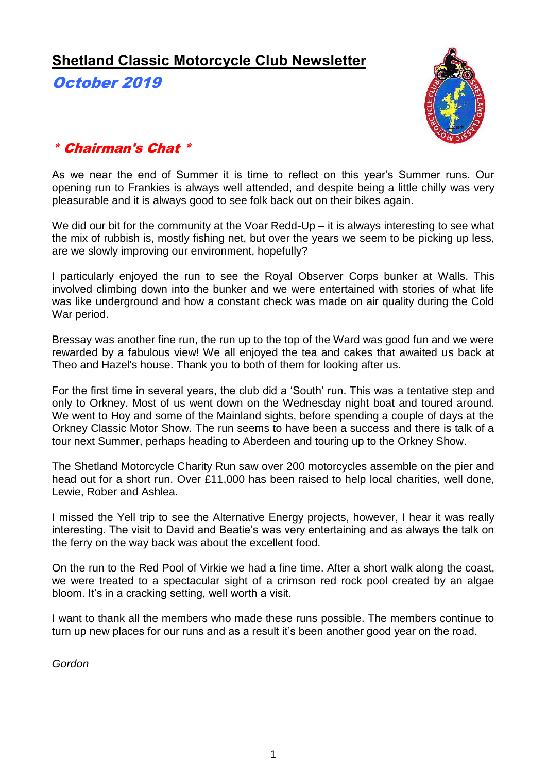# **Shetland Classic Motorcycle Club Newsletter**

October 2019



## \* Chairman's Chat \*

As we near the end of Summer it is time to reflect on this year's Summer runs. Our opening run to Frankies is always well attended, and despite being a little chilly was very pleasurable and it is always good to see folk back out on their bikes again.

We did our bit for the community at the Voar Redd-Up – it is always interesting to see what the mix of rubbish is, mostly fishing net, but over the years we seem to be picking up less, are we slowly improving our environment, hopefully?

I particularly enjoyed the run to see the Royal Observer Corps bunker at Walls. This involved climbing down into the bunker and we were entertained with stories of what life was like underground and how a constant check was made on air quality during the Cold War period.

Bressay was another fine run, the run up to the top of the Ward was good fun and we were rewarded by a fabulous view! We all enjoyed the tea and cakes that awaited us back at Theo and Hazel's house. Thank you to both of them for looking after us.

For the first time in several years, the club did a 'South' run. This was a tentative step and only to Orkney. Most of us went down on the Wednesday night boat and toured around. We went to Hoy and some of the Mainland sights, before spending a couple of days at the Orkney Classic Motor Show. The run seems to have been a success and there is talk of a tour next Summer, perhaps heading to Aberdeen and touring up to the Orkney Show.

The Shetland Motorcycle Charity Run saw over 200 motorcycles assemble on the pier and head out for a short run. Over £11,000 has been raised to help local charities, well done, Lewie, Rober and Ashlea.

I missed the Yell trip to see the Alternative Energy projects, however, I hear it was really interesting. The visit to David and Beatie's was very entertaining and as always the talk on the ferry on the way back was about the excellent food.

On the run to the Red Pool of Virkie we had a fine time. After a short walk along the coast, we were treated to a spectacular sight of a crimson red rock pool created by an algae bloom. It's in a cracking setting, well worth a visit.

I want to thank all the members who made these runs possible. The members continue to turn up new places for our runs and as a result it's been another good year on the road.

*Gordon*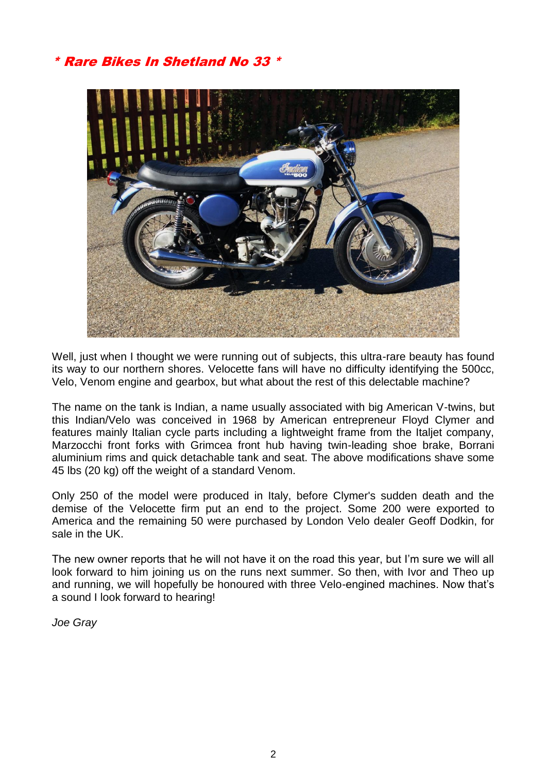# \* Rare Bikes In Shetland No 33 \*



Well, just when I thought we were running out of subjects, this ultra-rare beauty has found its way to our northern shores. Velocette fans will have no difficulty identifying the 500cc, Velo, Venom engine and gearbox, but what about the rest of this delectable machine?

The name on the tank is Indian, a name usually associated with big American V-twins, but this Indian/Velo was conceived in 1968 by American entrepreneur Floyd Clymer and features mainly Italian cycle parts including a lightweight frame from the Italjet company, Marzocchi front forks with Grimcea front hub having twin-leading shoe brake, Borrani aluminium rims and quick detachable tank and seat. The above modifications shave some 45 lbs (20 kg) off the weight of a standard Venom.

Only 250 of the model were produced in Italy, before Clymer's sudden death and the demise of the Velocette firm put an end to the project. Some 200 were exported to America and the remaining 50 were purchased by London Velo dealer Geoff Dodkin, for sale in the UK.

The new owner reports that he will not have it on the road this year, but I'm sure we will all look forward to him joining us on the runs next summer. So then, with Ivor and Theo up and running, we will hopefully be honoured with three Velo-engined machines. Now that's a sound I look forward to hearing!

*Joe Gray*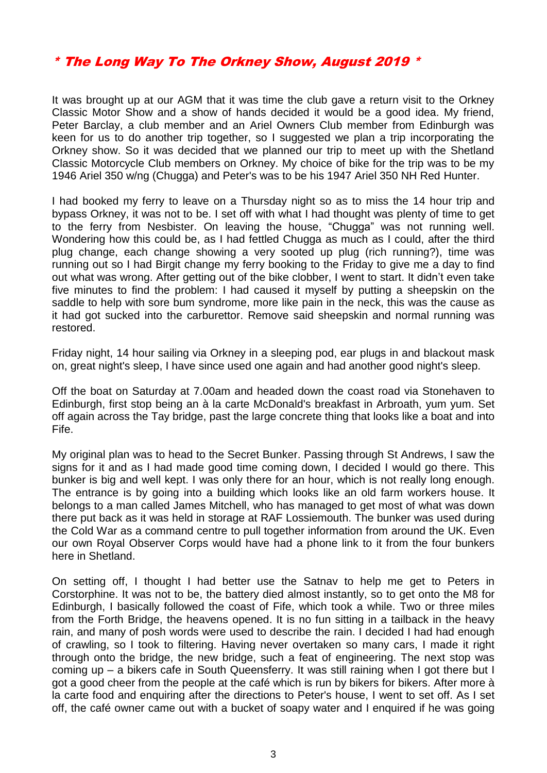## \* The Long Way To The Orkney Show, August 2019 \*

It was brought up at our AGM that it was time the club gave a return visit to the Orkney Classic Motor Show and a show of hands decided it would be a good idea. My friend, Peter Barclay, a club member and an Ariel Owners Club member from Edinburgh was keen for us to do another trip together, so I suggested we plan a trip incorporating the Orkney show. So it was decided that we planned our trip to meet up with the Shetland Classic Motorcycle Club members on Orkney. My choice of bike for the trip was to be my 1946 Ariel 350 w/ng (Chugga) and Peter's was to be his 1947 Ariel 350 NH Red Hunter.

I had booked my ferry to leave on a Thursday night so as to miss the 14 hour trip and bypass Orkney, it was not to be. I set off with what I had thought was plenty of time to get to the ferry from Nesbister. On leaving the house, "Chugga" was not running well. Wondering how this could be, as I had fettled Chugga as much as I could, after the third plug change, each change showing a very sooted up plug (rich running?), time was running out so I had Birgit change my ferry booking to the Friday to give me a day to find out what was wrong. After getting out of the bike clobber, I went to start. It didn't even take five minutes to find the problem: I had caused it myself by putting a sheepskin on the saddle to help with sore bum syndrome, more like pain in the neck, this was the cause as it had got sucked into the carburettor. Remove said sheepskin and normal running was restored.

Friday night, 14 hour sailing via Orkney in a sleeping pod, ear plugs in and blackout mask on, great night's sleep, I have since used one again and had another good night's sleep.

Off the boat on Saturday at 7.00am and headed down the coast road via Stonehaven to Edinburgh, first stop being an à la carte McDonald's breakfast in Arbroath, yum yum. Set off again across the Tay bridge, past the large concrete thing that looks like a boat and into Fife.

My original plan was to head to the Secret Bunker. Passing through St Andrews, I saw the signs for it and as I had made good time coming down, I decided I would go there. This bunker is big and well kept. I was only there for an hour, which is not really long enough. The entrance is by going into a building which looks like an old farm workers house. It belongs to a man called James Mitchell, who has managed to get most of what was down there put back as it was held in storage at RAF Lossiemouth. The bunker was used during the Cold War as a command centre to pull together information from around the UK. Even our own Royal Observer Corps would have had a phone link to it from the four bunkers here in Shetland.

On setting off, I thought I had better use the Satnav to help me get to Peters in Corstorphine. It was not to be, the battery died almost instantly, so to get onto the M8 for Edinburgh, I basically followed the coast of Fife, which took a while. Two or three miles from the Forth Bridge, the heavens opened. It is no fun sitting in a tailback in the heavy rain, and many of posh words were used to describe the rain. I decided I had had enough of crawling, so I took to filtering. Having never overtaken so many cars, I made it right through onto the bridge, the new bridge, such a feat of engineering. The next stop was coming up – a bikers cafe in South Queensferry. It was still raining when I got there but I got a good cheer from the people at the café which is run by bikers for bikers. After more à la carte food and enquiring after the directions to Peter's house, I went to set off. As I set off, the café owner came out with a bucket of soapy water and I enquired if he was going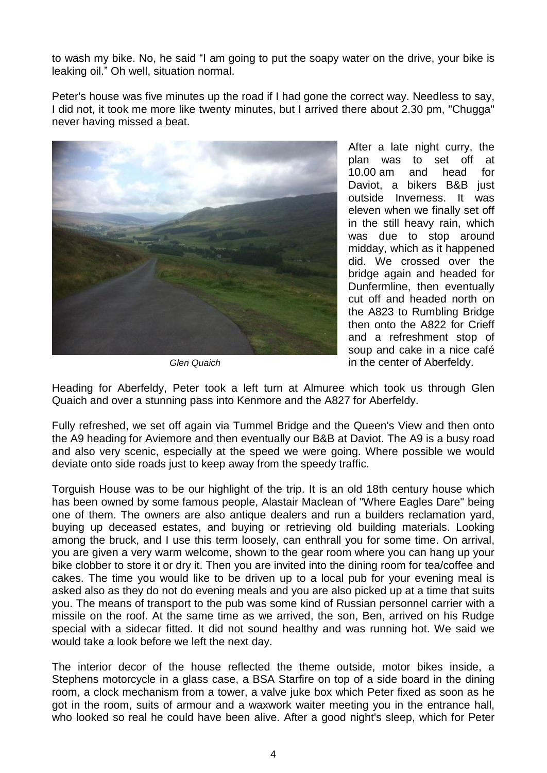to wash my bike. No, he said "I am going to put the soapy water on the drive, your bike is leaking oil." Oh well, situation normal.

Peter's house was five minutes up the road if I had gone the correct way. Needless to say, I did not, it took me more like twenty minutes, but I arrived there about 2.30 pm, "Chugga" never having missed a beat.



*Glen Quaich*

After a late night curry, the plan was to set off at 10.00 am and head for Daviot, a bikers B&B just outside Inverness. It was eleven when we finally set off in the still heavy rain, which was due to stop around midday, which as it happened did. We crossed over the bridge again and headed for Dunfermline, then eventually cut off and headed north on the A823 to Rumbling Bridge then onto the A822 for Crieff and a refreshment stop of soup and cake in a nice café in the center of Aberfeldy.

Heading for Aberfeldy, Peter took a left turn at Almuree which took us through Glen Quaich and over a stunning pass into Kenmore and the A827 for Aberfeldy.

Fully refreshed, we set off again via Tummel Bridge and the Queen's View and then onto the A9 heading for Aviemore and then eventually our B&B at Daviot. The A9 is a busy road and also very scenic, especially at the speed we were going. Where possible we would deviate onto side roads just to keep away from the speedy traffic.

Torguish House was to be our highlight of the trip. It is an old 18th century house which has been owned by some famous people, Alastair Maclean of "Where Eagles Dare" being one of them. The owners are also antique dealers and run a builders reclamation yard, buying up deceased estates, and buying or retrieving old building materials. Looking among the bruck, and I use this term loosely, can enthrall you for some time. On arrival, you are given a very warm welcome, shown to the gear room where you can hang up your bike clobber to store it or dry it. Then you are invited into the dining room for tea/coffee and cakes. The time you would like to be driven up to a local pub for your evening meal is asked also as they do not do evening meals and you are also picked up at a time that suits you. The means of transport to the pub was some kind of Russian personnel carrier with a missile on the roof. At the same time as we arrived, the son, Ben, arrived on his Rudge special with a sidecar fitted. It did not sound healthy and was running hot. We said we would take a look before we left the next day.

The interior decor of the house reflected the theme outside, motor bikes inside, a Stephens motorcycle in a glass case, a BSA Starfire on top of a side board in the dining room, a clock mechanism from a tower, a valve juke box which Peter fixed as soon as he got in the room, suits of armour and a waxwork waiter meeting you in the entrance hall, who looked so real he could have been alive. After a good night's sleep, which for Peter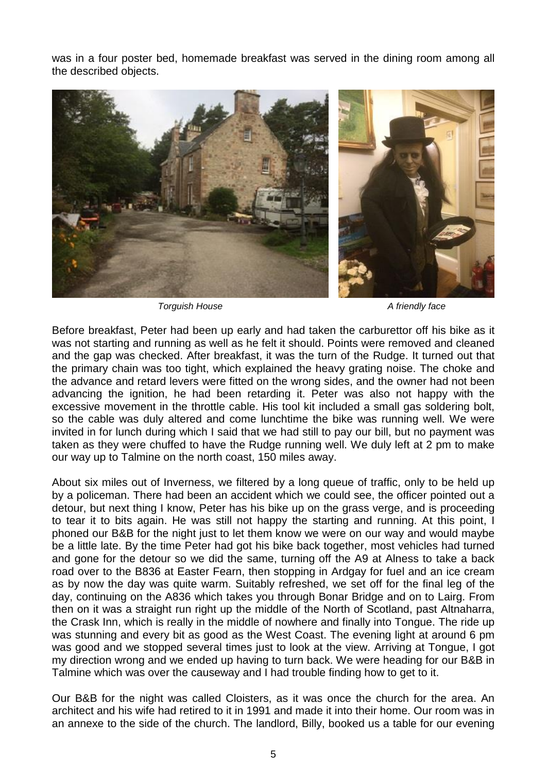was in a four poster bed, homemade breakfast was served in the dining room among all the described objects.



*Torguish House A friendly face*

Before breakfast, Peter had been up early and had taken the carburettor off his bike as it was not starting and running as well as he felt it should. Points were removed and cleaned and the gap was checked. After breakfast, it was the turn of the Rudge. It turned out that the primary chain was too tight, which explained the heavy grating noise. The choke and the advance and retard levers were fitted on the wrong sides, and the owner had not been advancing the ignition, he had been retarding it. Peter was also not happy with the excessive movement in the throttle cable. His tool kit included a small gas soldering bolt, so the cable was duly altered and come lunchtime the bike was running well. We were invited in for lunch during which I said that we had still to pay our bill, but no payment was taken as they were chuffed to have the Rudge running well. We duly left at 2 pm to make our way up to Talmine on the north coast, 150 miles away.

About six miles out of Inverness, we filtered by a long queue of traffic, only to be held up by a policeman. There had been an accident which we could see, the officer pointed out a detour, but next thing I know, Peter has his bike up on the grass verge, and is proceeding to tear it to bits again. He was still not happy the starting and running. At this point, I phoned our B&B for the night just to let them know we were on our way and would maybe be a little late. By the time Peter had got his bike back together, most vehicles had turned and gone for the detour so we did the same, turning off the A9 at Alness to take a back road over to the B836 at Easter Fearn, then stopping in Ardgay for fuel and an ice cream as by now the day was quite warm. Suitably refreshed, we set off for the final leg of the day, continuing on the A836 which takes you through Bonar Bridge and on to Lairg. From then on it was a straight run right up the middle of the North of Scotland, past Altnaharra, the Crask Inn, which is really in the middle of nowhere and finally into Tongue. The ride up was stunning and every bit as good as the West Coast. The evening light at around 6 pm was good and we stopped several times just to look at the view. Arriving at Tongue, I got my direction wrong and we ended up having to turn back. We were heading for our B&B in Talmine which was over the causeway and I had trouble finding how to get to it.

Our B&B for the night was called Cloisters, as it was once the church for the area. An architect and his wife had retired to it in 1991 and made it into their home. Our room was in an annexe to the side of the church. The landlord, Billy, booked us a table for our evening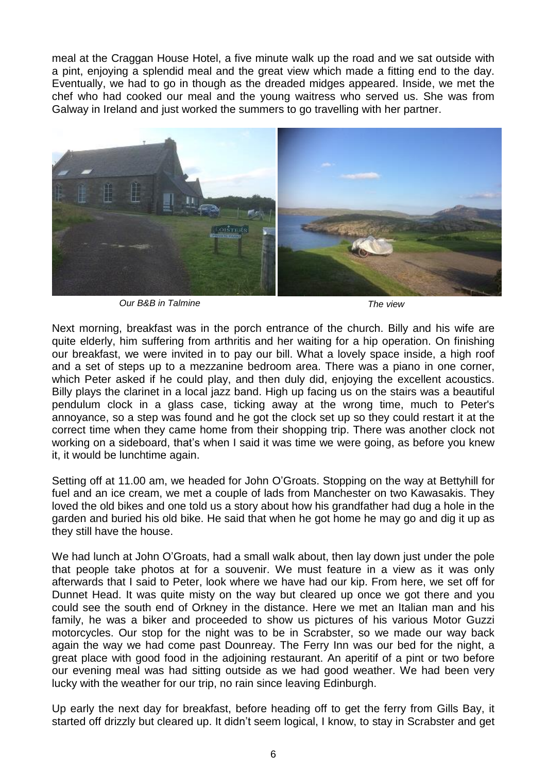meal at the Craggan House Hotel, a five minute walk up the road and we sat outside with a pint, enjoying a splendid meal and the great view which made a fitting end to the day. Eventually, we had to go in though as the dreaded midges appeared. Inside, we met the chef who had cooked our meal and the young waitress who served us. She was from Galway in Ireland and just worked the summers to go travelling with her partner.



*Our B&B in Talmine The view*

Next morning, breakfast was in the porch entrance of the church. Billy and his wife are quite elderly, him suffering from arthritis and her waiting for a hip operation. On finishing our breakfast, we were invited in to pay our bill. What a lovely space inside, a high roof and a set of steps up to a mezzanine bedroom area. There was a piano in one corner, which Peter asked if he could play, and then duly did, enjoying the excellent acoustics. Billy plays the clarinet in a local jazz band. High up facing us on the stairs was a beautiful pendulum clock in a glass case, ticking away at the wrong time, much to Peter's annoyance, so a step was found and he got the clock set up so they could restart it at the correct time when they came home from their shopping trip. There was another clock not working on a sideboard, that's when I said it was time we were going, as before you knew it, it would be lunchtime again.

Setting off at 11.00 am, we headed for John O'Groats. Stopping on the way at Bettyhill for fuel and an ice cream, we met a couple of lads from Manchester on two Kawasakis. They loved the old bikes and one told us a story about how his grandfather had dug a hole in the garden and buried his old bike. He said that when he got home he may go and dig it up as they still have the house.

We had lunch at John O'Groats, had a small walk about, then lay down just under the pole that people take photos at for a souvenir. We must feature in a view as it was only afterwards that I said to Peter, look where we have had our kip. From here, we set off for Dunnet Head. It was quite misty on the way but cleared up once we got there and you could see the south end of Orkney in the distance. Here we met an Italian man and his family, he was a biker and proceeded to show us pictures of his various Motor Guzzi motorcycles. Our stop for the night was to be in Scrabster, so we made our way back again the way we had come past Dounreay. The Ferry Inn was our bed for the night, a great place with good food in the adjoining restaurant. An aperitif of a pint or two before our evening meal was had sitting outside as we had good weather. We had been very lucky with the weather for our trip, no rain since leaving Edinburgh.

Up early the next day for breakfast, before heading off to get the ferry from Gills Bay, it started off drizzly but cleared up. It didn't seem logical, I know, to stay in Scrabster and get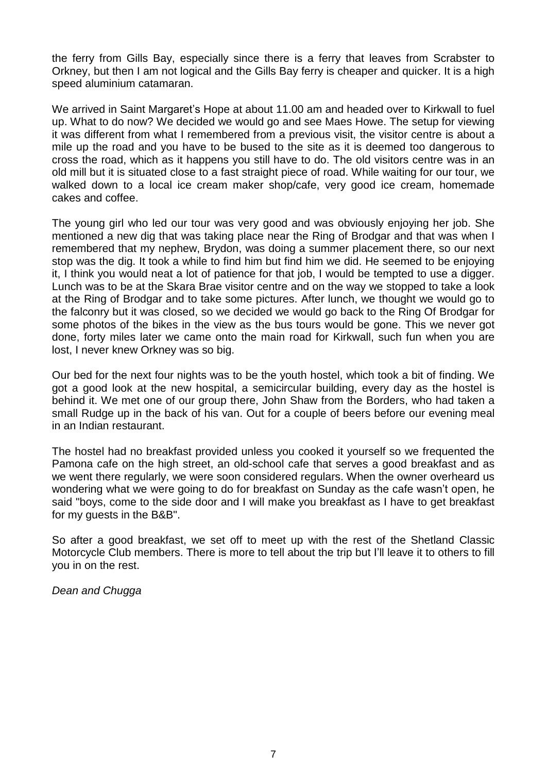the ferry from Gills Bay, especially since there is a ferry that leaves from Scrabster to Orkney, but then I am not logical and the Gills Bay ferry is cheaper and quicker. It is a high speed aluminium catamaran.

We arrived in Saint Margaret's Hope at about 11.00 am and headed over to Kirkwall to fuel up. What to do now? We decided we would go and see Maes Howe. The setup for viewing it was different from what I remembered from a previous visit, the visitor centre is about a mile up the road and you have to be bused to the site as it is deemed too dangerous to cross the road, which as it happens you still have to do. The old visitors centre was in an old mill but it is situated close to a fast straight piece of road. While waiting for our tour, we walked down to a local ice cream maker shop/cafe, very good ice cream, homemade cakes and coffee.

The young girl who led our tour was very good and was obviously enjoying her job. She mentioned a new dig that was taking place near the Ring of Brodgar and that was when I remembered that my nephew, Brydon, was doing a summer placement there, so our next stop was the dig. It took a while to find him but find him we did. He seemed to be enjoying it, I think you would neat a lot of patience for that job, I would be tempted to use a digger. Lunch was to be at the Skara Brae visitor centre and on the way we stopped to take a look at the Ring of Brodgar and to take some pictures. After lunch, we thought we would go to the falconry but it was closed, so we decided we would go back to the Ring Of Brodgar for some photos of the bikes in the view as the bus tours would be gone. This we never got done, forty miles later we came onto the main road for Kirkwall, such fun when you are lost, I never knew Orkney was so big.

Our bed for the next four nights was to be the youth hostel, which took a bit of finding. We got a good look at the new hospital, a semicircular building, every day as the hostel is behind it. We met one of our group there, John Shaw from the Borders, who had taken a small Rudge up in the back of his van. Out for a couple of beers before our evening meal in an Indian restaurant.

The hostel had no breakfast provided unless you cooked it yourself so we frequented the Pamona cafe on the high street, an old-school cafe that serves a good breakfast and as we went there regularly, we were soon considered regulars. When the owner overheard us wondering what we were going to do for breakfast on Sunday as the cafe wasn't open, he said "boys, come to the side door and I will make you breakfast as I have to get breakfast for my guests in the B&B".

So after a good breakfast, we set off to meet up with the rest of the Shetland Classic Motorcycle Club members. There is more to tell about the trip but I'll leave it to others to fill you in on the rest.

*Dean and Chugga*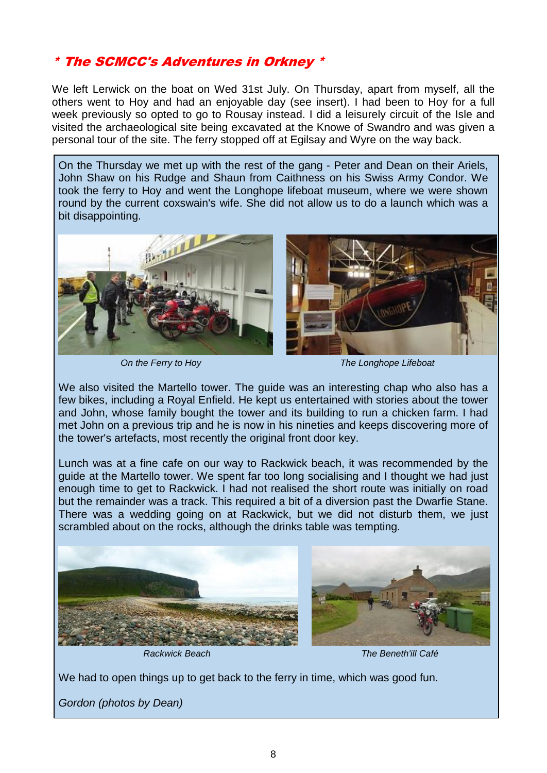## \* The SCMCC's Adventures in Orkney \*

We left Lerwick on the boat on Wed 31st July. On Thursday, apart from myself, all the others went to Hoy and had an enjoyable day (see insert). I had been to Hoy for a full week previously so opted to go to Rousay instead. I did a leisurely circuit of the Isle and visited the archaeological site being excavated at the Knowe of Swandro and was given a personal tour of the site. The ferry stopped off at Egilsay and Wyre on the way back.

On the Thursday we met up with the rest of the gang - Peter and Dean on their Ariels, John Shaw on his Rudge and Shaun from Caithness on his Swiss Army Condor. We took the ferry to Hoy and went the Longhope lifeboat museum, where we were shown round by the current coxswain's wife. She did not allow us to do a launch which was a bit disappointing.



*On the Ferry to Hoy The Longhope Lifeboat*

We also visited the Martello tower. The guide was an interesting chap who also has a few bikes, including a Royal Enfield. He kept us entertained with stories about the tower and John, whose family bought the tower and its building to run a chicken farm. I had met John on a previous trip and he is now in his nineties and keeps discovering more of the tower's artefacts, most recently the original front door key.

Lunch was at a fine cafe on our way to Rackwick beach, it was recommended by the guide at the Martello tower. We spent far too long socialising and I thought we had just enough time to get to Rackwick. I had not realised the short route was initially on road but the remainder was a track. This required a bit of a diversion past the Dwarfie Stane. There was a wedding going on at Rackwick, but we did not disturb them, we just scrambled about on the rocks, although the drinks table was tempting.





*Rackwick Beach The Beneth'ill Café*

We had to open things up to get back to the ferry in time, which was good fun.

*Gordon (photos by Dean)*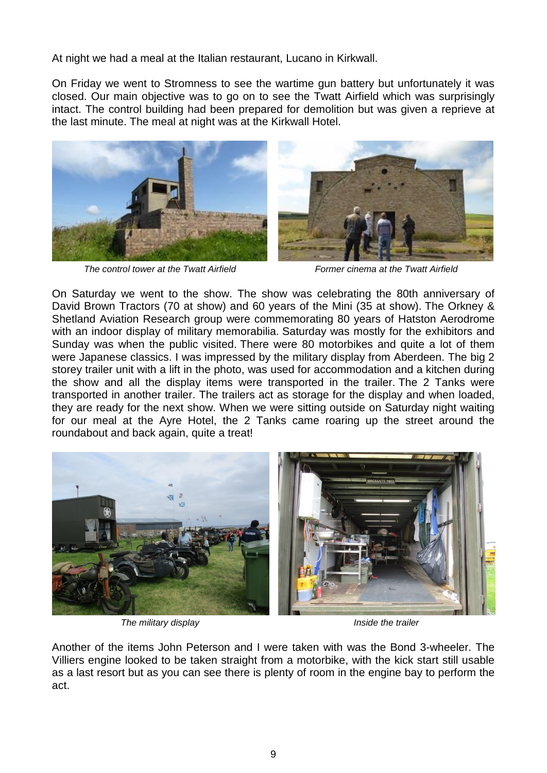At night we had a meal at the Italian restaurant, Lucano in Kirkwall.

On Friday we went to Stromness to see the wartime gun battery but unfortunately it was closed. Our main objective was to go on to see the Twatt Airfield which was surprisingly intact. The control building had been prepared for demolition but was given a reprieve at the last minute. The meal at night was at the Kirkwall Hotel.



*The control tower at the Twatt Airfield Former cinema at the Twatt Airfield*



On Saturday we went to the show. The show was celebrating the 80th anniversary of David Brown Tractors (70 at show) and 60 years of the Mini (35 at show). The Orkney & Shetland Aviation Research group were commemorating 80 years of Hatston Aerodrome with an indoor display of military memorabilia. Saturday was mostly for the exhibitors and Sunday was when the public visited. There were 80 motorbikes and quite a lot of them were Japanese classics. I was impressed by the military display from Aberdeen. The big 2 storey trailer unit with a lift in the photo, was used for accommodation and a kitchen during the show and all the display items were transported in the trailer. The 2 Tanks were transported in another trailer. The trailers act as storage for the display and when loaded, they are ready for the next show. When we were sitting outside on Saturday night waiting for our meal at the Ayre Hotel, the 2 Tanks came roaring up the street around the roundabout and back again, quite a treat!



*The military display Inside the trailer*

Another of the items John Peterson and I were taken with was the Bond 3-wheeler. The Villiers engine looked to be taken straight from a motorbike, with the kick start still usable as a last resort but as you can see there is plenty of room in the engine bay to perform the act.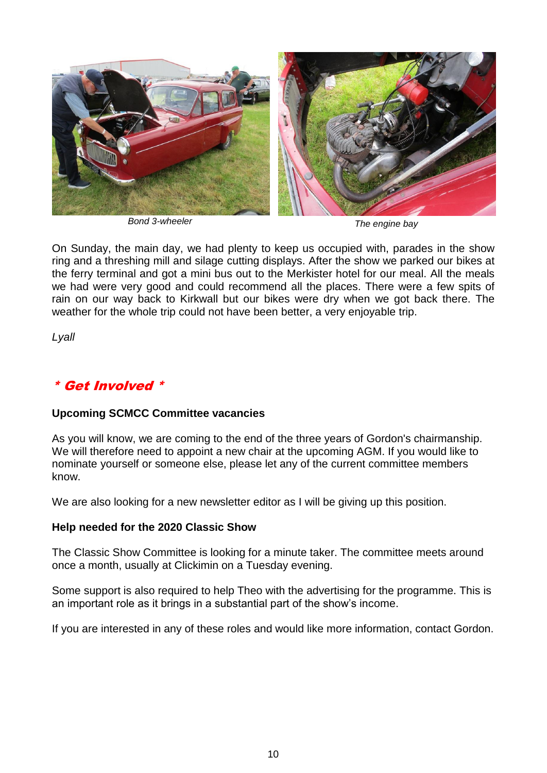

*Bond 3-wheeler The engine bay*

On Sunday, the main day, we had plenty to keep us occupied with, parades in the show ring and a threshing mill and silage cutting displays. After the show we parked our bikes at the ferry terminal and got a mini bus out to the Merkister hotel for our meal. All the meals we had were very good and could recommend all the places. There were a few spits of rain on our way back to Kirkwall but our bikes were dry when we got back there. The weather for the whole trip could not have been better, a very enjoyable trip.

*Lyall*

## \* Get Involved \*

### **Upcoming SCMCC Committee vacancies**

As you will know, we are coming to the end of the three years of Gordon's chairmanship. We will therefore need to appoint a new chair at the upcoming AGM. If you would like to nominate yourself or someone else, please let any of the current committee members know.

We are also looking for a new newsletter editor as I will be giving up this position.

### **Help needed for the 2020 Classic Show**

The Classic Show Committee is looking for a minute taker. The committee meets around once a month, usually at Clickimin on a Tuesday evening.

Some support is also required to help Theo with the advertising for the programme. This is an important role as it brings in a substantial part of the show's income.

If you are interested in any of these roles and would like more information, contact Gordon.